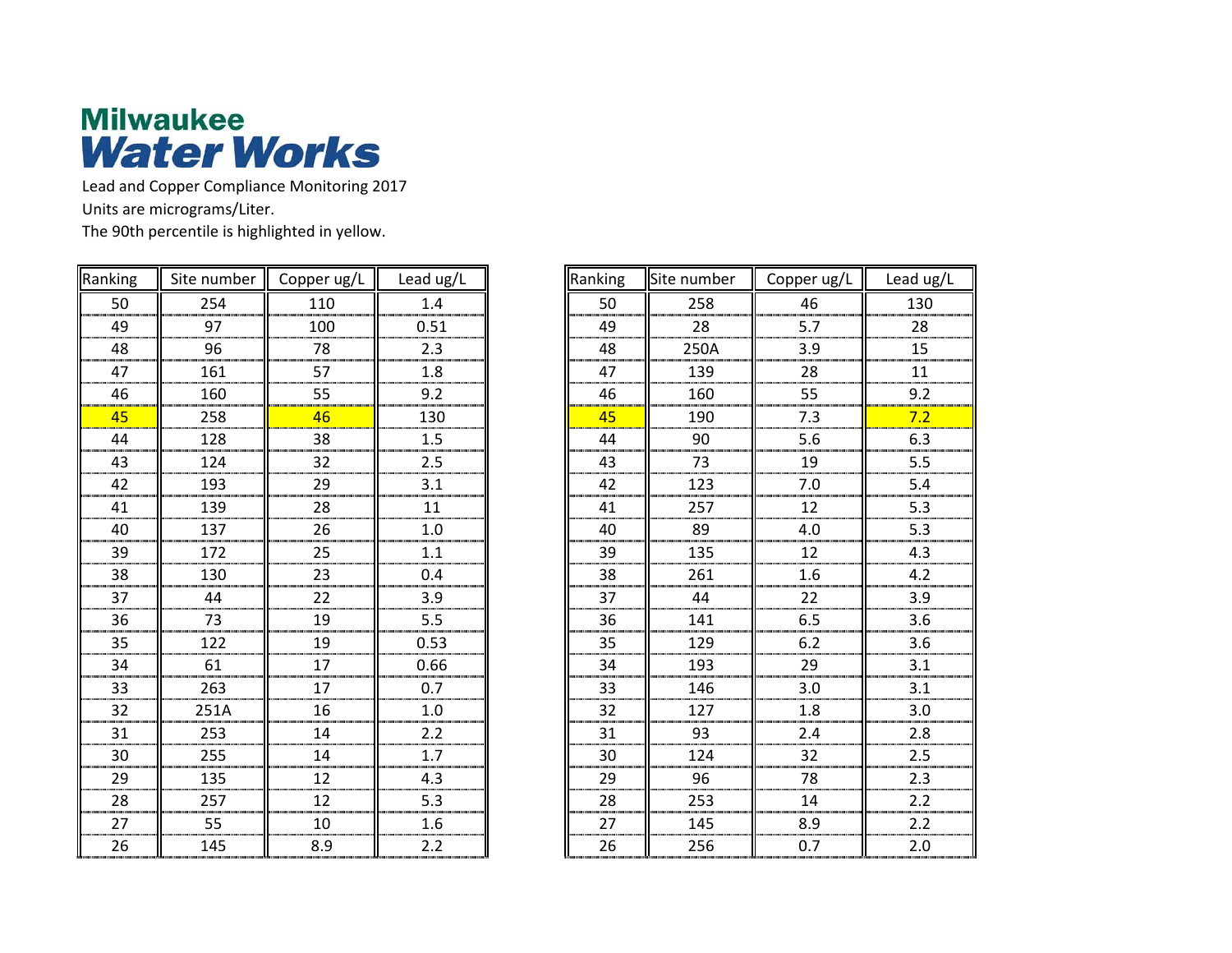

Lead and Copper Compliance Monitoring 2017 Units are micrograms/Liter.

The 90th percentile is highlighted in yellow.

| Ranking | Site number                             | Copper ug/L | Lead ug/L        | Ranking | Site number | Copper ug/L | Lead ug/L        |
|---------|-----------------------------------------|-------------|------------------|---------|-------------|-------------|------------------|
| 50      | 254                                     | 110         | 1.4              | 50      | 258         | 46          | 130              |
| 49      | 97                                      | 100         | 0.51             | 49      | 28          | 5.7         | 28               |
| 48      | 96                                      | 78          | 2.3              | 48      | 250A        | 3.9         | 15               |
| 47      | 161                                     | 57          | 1.8              | 47      | 139         | 28          | 11               |
| 46      | 160                                     | 55          | 9.2              | 46      | 160         | 55          | 9.2              |
| 45      | 258                                     | 46          | 130              | 45      | 190         | 7.3         | 7.2              |
| 44      | 128                                     | 38          | 1.5              | 44      | 90          | 5.6         | 6.3              |
| 43      | 124                                     | 32          | 2.5              | 43      | 73          | 19          | 5.5              |
| 42      | 193                                     | 29          | 3.1              | 42      | 123         | $7.0\,$     | 5.4              |
| 41      | 139                                     | 28          | 11               | 41      | 257         | 12          | 5.3              |
| 40      | 137                                     | 26          | $1.0\,$          | 40      | 89          | 4.0         | 5.3              |
| 39      | 172                                     | 25          | 1.1              | 39      | 135         | 12          | 4.3              |
| 38      | 130                                     | 23          | $0.4\,$          | 38      | 261         | $1.6\,$     | $4.2\,$          |
| 37      | 44                                      | 22          | 3.9              | 37      | 44          | 22          | 3.9              |
| 36      | $\begin{array}{c}\n 73 \\  \end{array}$ | 19          | 5.5              | 36      | 141         | 6.5         | 3.6              |
| 35      | 122                                     | 19          | 0.53             | 35      | 129         | 6.2         | 3.6              |
| 34      | 61                                      | 17          | 0.66             | 34      | 193         | 29          | 3.1              |
| 33      | 263                                     | 17          | 0.7              | 33      | 146         | 3.0         | 3.1              |
| 32      | 251A                                    | 16          | $1.0\,$          | 32      | 127         | 1.8         | 3.0              |
| 31      | 253                                     | 14          | $2.2\,$          | 31      | 93          | $2.4$       | 2.8              |
| 30      | 255                                     | 14          | $\overline{1.7}$ | 30      | 124         | 32          | 2.5              |
| 29      | 135                                     | 12          | 4.3              | 29      | 96          | 78          | 2.3              |
| 28      | 257                                     | 12          | 5.3              | 28      | 253         | 14          | $\overline{2.2}$ |
| 27      | 55                                      | 10          | 1.6              | 27      | 145         | 8.9         | 2.2              |
| 26      | 145                                     | 8.9         | 2.2              | 26      | 256         | 0.7         | $2.0\,$          |
|         |                                         |             |                  |         |             |             |                  |

| Ranking                                                                                                   | Site number                                                                   | Copper ug/L                       | Lead ug/L        |
|-----------------------------------------------------------------------------------------------------------|-------------------------------------------------------------------------------|-----------------------------------|------------------|
| 50                                                                                                        | 258                                                                           | $\begin{array}{c} 46 \end{array}$ | 130              |
|                                                                                                           | 28                                                                            | $\overline{5.7}$                  | 28<br>           |
| $\begin{array}{r}\n 49 \\  \hline\n 48 \\  \hline\n 47 \\  \hline\n \end{array}$                          |                                                                               | $\overline{3.9}$                  | 15               |
|                                                                                                           |                                                                               | 28                                | 11               |
| $\frac{46}{1}$                                                                                            | $\begin{array}{r} \n \text{250A} \\  \text{139} \\  \text{160}\n \end{array}$ | $\overline{55}$                   | 9.2              |
| $\frac{45}{1}$                                                                                            | 190                                                                           | 7.3                               | 7.2              |
|                                                                                                           | $\frac{90}{2}$                                                                | 5.6                               | 6.3              |
| $\begin{array}{c}\n44 \\ 43\n\end{array}$                                                                 | $\frac{73}{ }$                                                                | $\frac{19}{1}$                    | 5.5<br>          |
| $\frac{42}{41}$<br>$\frac{40}{40}$                                                                        | $\overline{123}$                                                              | 7.0                               | 5.4              |
|                                                                                                           | $\frac{257}{257}$                                                             | $\frac{12}{12}$                   | $\frac{1}{5.3}$  |
|                                                                                                           |                                                                               | 4.0                               | $\overline{5.3}$ |
| 39                                                                                                        | 135                                                                           | $\overline{12}$                   | 4.3              |
| $\overline{38}$                                                                                           | 261                                                                           | 1.6                               | 4.2              |
| $\frac{1}{37}$                                                                                            | 44                                                                            | $\overline{22}$                   | 3.9              |
|                                                                                                           |                                                                               | $\frac{6.5}{6.2}$                 | 3.6              |
| $\frac{36}{35}$                                                                                           | $\frac{4}{141}$ $\frac{129}{193}$ $\frac{193}{16}$                            |                                   | 3.6              |
| $\overline{34}$                                                                                           |                                                                               | $\overline{29}$                   | 3.1              |
| $\overline{33}$                                                                                           | 146                                                                           | 3.0                               | 3.1              |
| $\overline{32}$                                                                                           | 127                                                                           | 1.8                               | 3.0              |
|                                                                                                           | $\begin{array}{c c} \hline 93 \end{array}$                                    | 2.4                               | 2.8              |
| $\begin{array}{r} 32 \\ \underline{31} \\ 30 \\ \underline{29} \\ 28 \\ \underline{28} \\ 27 \end{array}$ | 124                                                                           | 32                                | 2.5              |
|                                                                                                           | $\overline{96}$                                                               | 78                                | $\overline{2.3}$ |
|                                                                                                           | 253                                                                           | 14                                | 2.2              |
| $\overline{27}$                                                                                           | 145                                                                           | 8.9                               | 2.2              |
| 26                                                                                                        | 256                                                                           | 0.7                               | 2.0              |